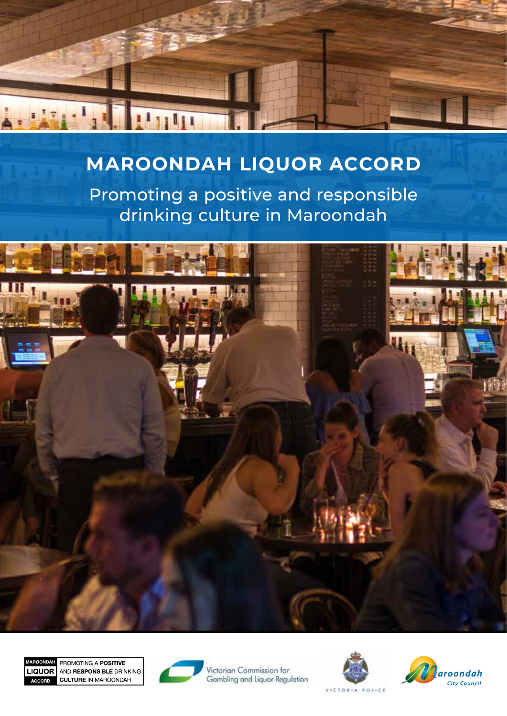### **MAROONDAH LIQUOR ACCORD**

1111

Promoting a positive and responsible drinking culture in Maroondah



PROMOTING A POSITIVE AND RESPONSIBLE DRINKING **LIQUOR CULTURE IN MAROONDAH** 



Victorian Commission for Gambling and Liquor Regulation



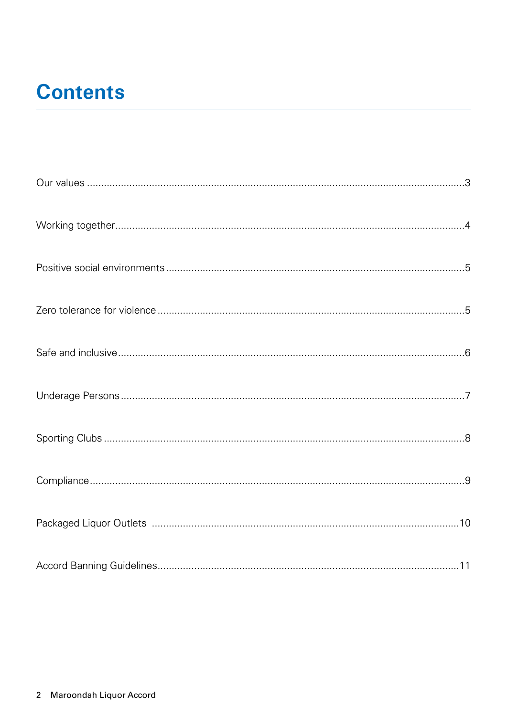## **Contents**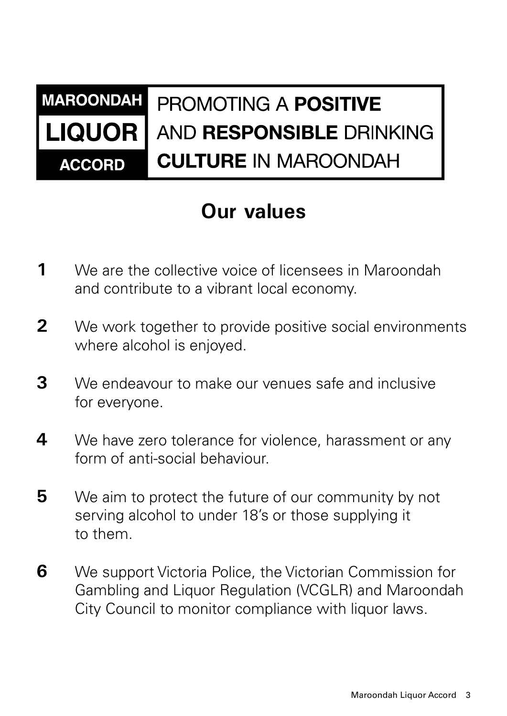### <span id="page-2-0"></span>**MAROONDAH** PROMOTING A POSITIVE **LIQUOR** AND RESPONSIBLE DRINKING **CULTURE IN MAROONDAH ACCORD**

## **Our values**

- **1** We are the collective voice of licensees in Maroondah and contribute to a vibrant local economy.
- **2** We work together to provide positive social environments where alcohol is enjoyed.
- **3** We endeavour to make our venues safe and inclusive for everyone.
- **4** We have zero tolerance for violence, harassment or any form of anti-social behaviour.
- **5** We aim to protect the future of our community by not serving alcohol to under 18's or those supplying it to them.
- **6** We support Victoria Police, the Victorian Commission for Gambling and Liquor Regulation (VCGLR) and Maroondah City Council to monitor compliance with liquor laws.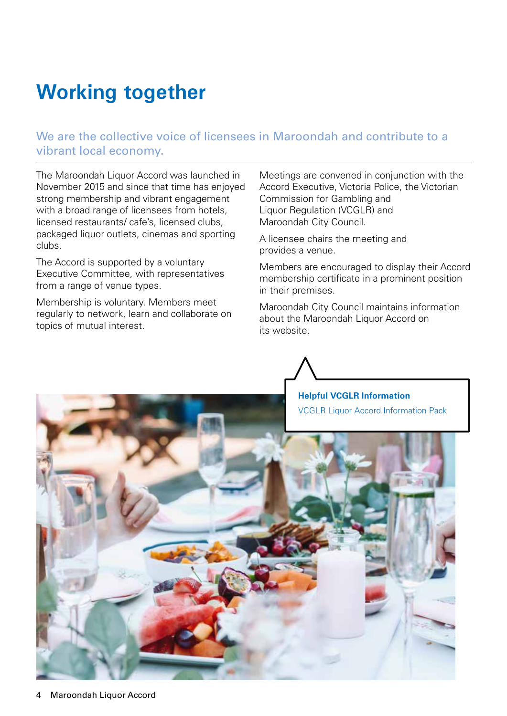## <span id="page-3-0"></span>**Working together**

We are the collective voice of licensees in Maroondah and contribute to a vibrant local economy.

The Maroondah Liquor Accord was launched in November 2015 and since that time has enjoyed strong membership and vibrant engagement with a broad range of licensees from hotels, licensed restaurants/ cafe's, licensed clubs, packaged liquor outlets, cinemas and sporting clubs.

The Accord is supported by a voluntary Executive Committee, with representatives from a range of venue types.

Membership is voluntary. Members meet regularly to network, learn and collaborate on topics of mutual interest.

Meetings are convened in conjunction with the Accord Executive, Victoria Police, the Victorian Commission for Gambling and Liquor Regulation (VCGLR) and Maroondah City Council.

A licensee chairs the meeting and provides a venue.

Members are encouraged to display their Accord membership certificate in a prominent position in their premises.

Maroondah City Council maintains information about the Maroondah Liquor Accord on its website.

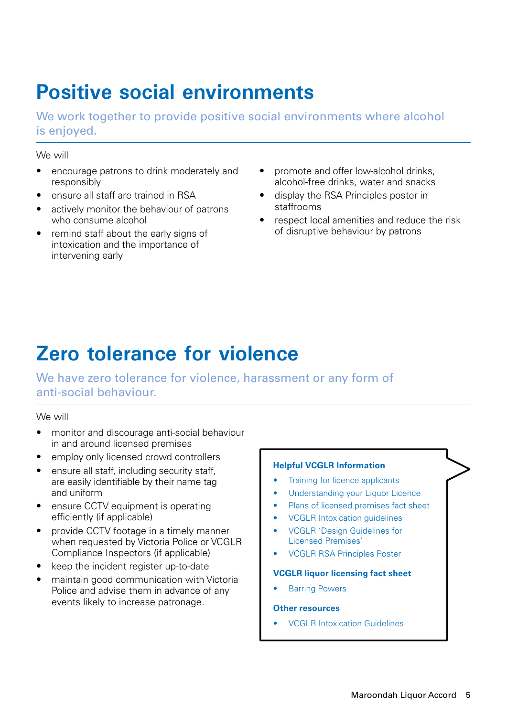## <span id="page-4-0"></span>**Positive social environments**

We work together to provide positive social environments where alcohol is enjoyed.

### We will

- ∙ encourage patrons to drink moderately and responsibly
- ∙ ensure all staff are trained in RSA
- ∙ actively monitor the behaviour of patrons who consume alcohol
- ∙ remind staff about the early signs of intoxication and the importance of intervening early
- ∙ promote and offer low-alcohol drinks, alcohol-free drinks, water and snacks
- ∙ display the RSA Principles poster in staffrooms
- ∙ respect local amenities and reduce the risk of disruptive behaviour by patrons

### **Zero tolerance for violence**

We have zero tolerance for violence, harassment or any form of anti-social behaviour.

### We will

- ∙ monitor and discourage anti-social behaviour in and around licensed premises
- ∙ employ only licensed crowd controllers
- ∙ ensure all staff, including security staff, are easily identifiable by their name tag and uniform
- ∙ ensure CCTV equipment is operating efficiently (if applicable)
- ∙ provide CCTV footage in a timely manner when requested by Victoria Police or VCGLR Compliance Inspectors (if applicable)
- ∙ keep the incident register up-to-date
- ∙ maintain good communication with Victoria Police and advise them in advance of any events likely to increase patronage.

### **Helpful VCGLR Information**

- Training for licence applicants
- Understanding your Liquor Licence
- Plans of licensed premises fact sheet
- VCGLR Intoxication guidelines
- VCGLR 'Design Guidelines for Licensed Premises'
- VCGLR RSA Principles Poster

#### **VCGLR liquor licensing fact sheet**

**Barring Powers** 

#### **Other resources**

• VCGLR Intoxication Guidelines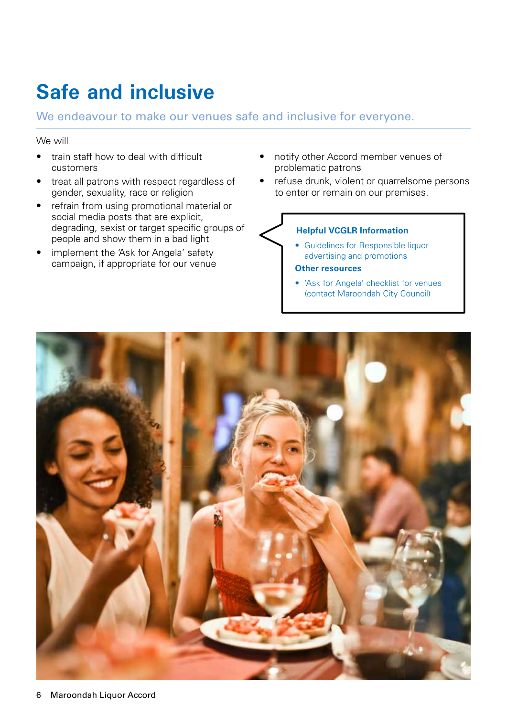# <span id="page-5-0"></span>**Safe and inclusive**

### We endeavour to make our venues safe and inclusive for everyone.

### We will

- ∙ train staff how to deal with difficult customers
- ∙ treat all patrons with respect regardless of gender, sexuality, race or religion
- ∙ refrain from using promotional material or social media posts that are explicit, degrading, sexist or target specific groups of people and show them in a bad light
- ∙ implement the 'Ask for Angela' safety campaign, if appropriate for our venue
- ∙ notify other Accord member venues of problematic patrons
- ∙ refuse drunk, violent or quarrelsome persons to enter or remain on our premises.

### **Helpful VCGLR Information**

• Guidelines for Responsible liquor advertising and promotions

#### **Other resources**

• 'Ask for Angela' checklist for venues (contact Maroondah City Council)

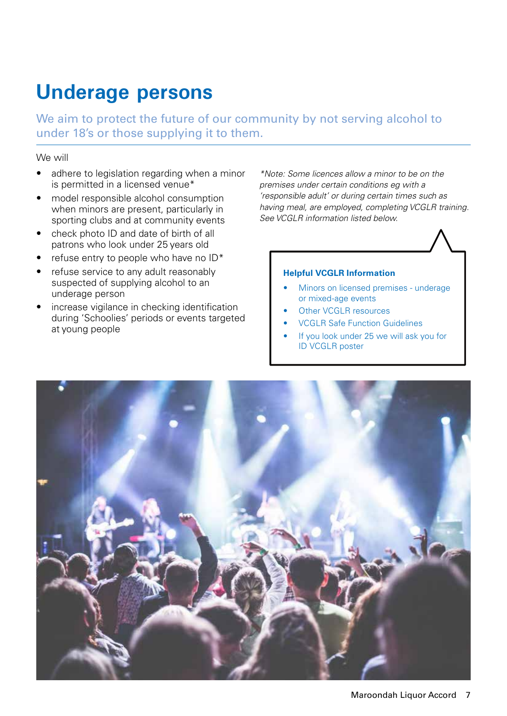## <span id="page-6-0"></span>**Underage persons**

We aim to protect the future of our community by not serving alcohol to under 18's or those supplying it to them.

We will

- ∙ adhere to legislation regarding when a minor is permitted in a licensed venue\*
- ∙ model responsible alcohol consumption when minors are present, particularly in sporting clubs and at community events
- ∙ check photo ID and date of birth of all patrons who look under 25 years old
- ∙ refuse entry to people who have no ID\*
- ∙ refuse service to any adult reasonably suspected of supplying alcohol to an underage person
- ∙ increase vigilance in checking identification during 'Schoolies' periods or events targeted at young people

*\*Note: Some licences allow a minor to be on the premises under certain conditions eg with a 'responsible adult' or during certain times such as having meal, are employed, completing VCGLR training. See VCGLR information listed below.*



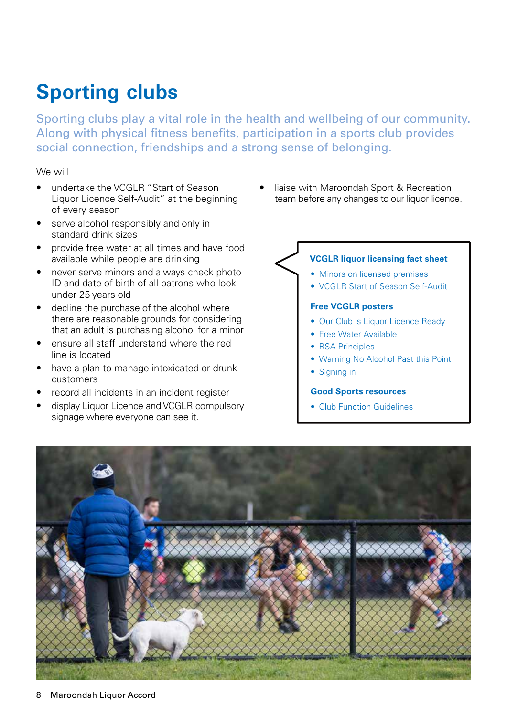# <span id="page-7-0"></span>**Sporting clubs**

Sporting clubs play a vital role in the health and wellbeing of our community. Along with physical fitness benefits, participation in a sports club provides social connection, friendships and a strong sense of belonging.

### We will

- ∙ undertake the VCGLR "Start of Season Liquor Licence Self-Audit" at the beginning of every season
- ∙ serve alcohol responsibly and only in standard drink sizes
- ∙ provide free water at all times and have food available while people are drinking
- never serve minors and always check photo ID and date of birth of all patrons who look under 25 years old
- ∙ decline the purchase of the alcohol where there are reasonable grounds for considering that an adult is purchasing alcohol for a minor
- ∙ ensure all staff understand where the red line is located
- ∙ have a plan to manage intoxicated or drunk customers
- ∙ record all incidents in an incident register
- ∙ display Liquor Licence and VCGLR compulsory signage where everyone can see it.

∙ liaise with Maroondah Sport & Recreation team before any changes to our liquor licence.

### **VCGLR liquor licensing fact sheet**

- Minors on licensed premises
- VCGLR Start of Season Self-Audit

#### **Free VCGLR posters**

- Our Club is Liquor Licence Ready
- Free Water Available
- RSA Principles
- Warning No Alcohol Past this Point
- Signing in

### **Good Sports resources**

• Club Function Guidelines

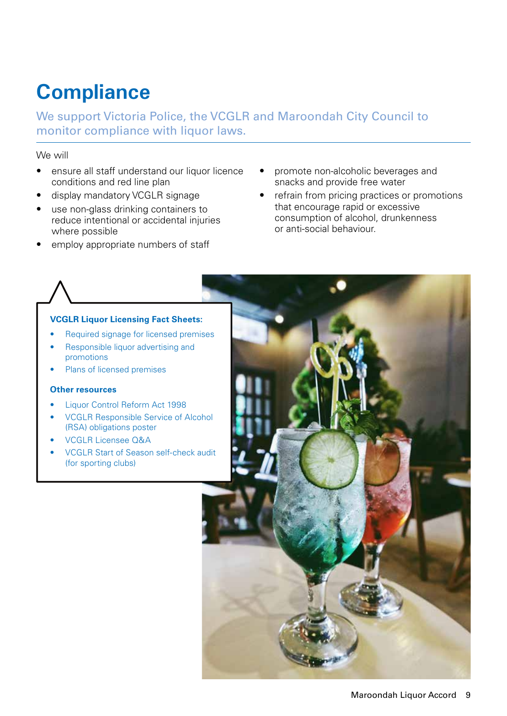# <span id="page-8-0"></span>**Compliance**

We support Victoria Police, the VCGLR and Maroondah City Council to monitor compliance with liquor laws.

### We will

- ∙ ensure all staff understand our liquor licence conditions and red line plan
- ∙ display mandatory VCGLR signage
- ∙ use non-glass drinking containers to reduce intentional or accidental injuries where possible
- employ appropriate numbers of staff
- ∙ promote non-alcoholic beverages and snacks and provide free water
- ∙ refrain from pricing practices or promotions that encourage rapid or excessive consumption of alcohol, drunkenness or anti-social behaviour.

### **VCGLR Liquor Licensing Fact Sheets:**

- Required signage for licensed premises
- Responsible liquor advertising and promotions
- Plans of licensed premises

#### **Other resources**

- Liquor Control Reform Act 1998
- VCGLR Responsible Service of Alcohol (RSA) obligations poster
- VCGLR Licensee Q&A
- VCGLR Start of Season self-check audit (for sporting clubs)

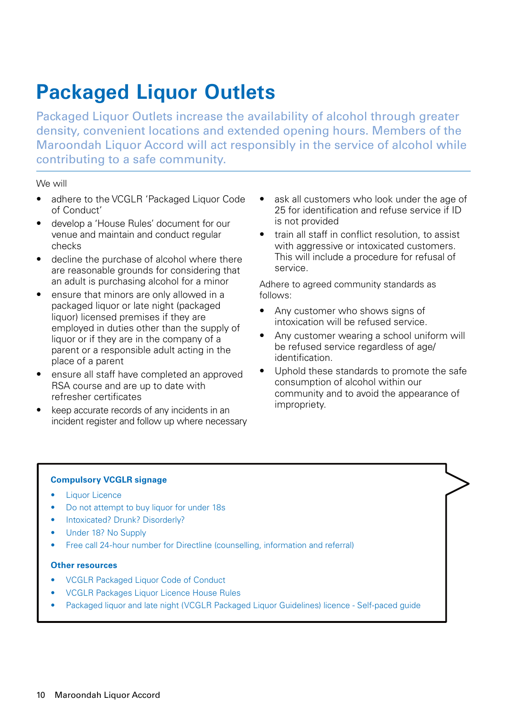## <span id="page-9-0"></span>**Packaged Liquor Outlets**

Packaged Liquor Outlets increase the availability of alcohol through greater density, convenient locations and extended opening hours. Members of the Maroondah Liquor Accord will act responsibly in the service of alcohol while contributing to a safe community.

We will

- ∙ adhere to the VCGLR 'Packaged Liquor Code of Conduct'
- ∙ develop a 'House Rules' document for our venue and maintain and conduct regular checks
- ∙ decline the purchase of alcohol where there are reasonable grounds for considering that an adult is purchasing alcohol for a minor
- ∙ ensure that minors are only allowed in a packaged liquor or late night (packaged liquor) licensed premises if they are employed in duties other than the supply of liquor or if they are in the company of a parent or a responsible adult acting in the place of a parent
- ∙ ensure all staff have completed an approved RSA course and are up to date with refresher certificates
- ∙ keep accurate records of any incidents in an incident register and follow up where necessary
- ∙ ask all customers who look under the age of 25 for identification and refuse service if ID is not provided
- ∙ train all staff in conflict resolution, to assist with aggressive or intoxicated customers. This will include a procedure for refusal of service.

Adhere to agreed community standards as follows:

- ∙ Any customer who shows signs of intoxication will be refused service.
- ∙ Any customer wearing a school uniform will be refused service regardless of age/ identification.
- ∙ Uphold these standards to promote the safe consumption of alcohol within our community and to avoid the appearance of impropriety.

### **Compulsory VCGLR signage**

- **Liquor Licence**
- Do not attempt to buy liquor for under 18s
- Intoxicated? Drunk? Disorderly?
- Under 18? No Supply
- Free call 24-hour number for Directline (counselling, information and referral)

### **Other resources**

- VCGLR Packaged Liquor Code of Conduct
- VCGLR Packages Liquor Licence House Rules
- Packaged liquor and late night (VCGLR Packaged Liquor Guidelines) licence Self-paced guide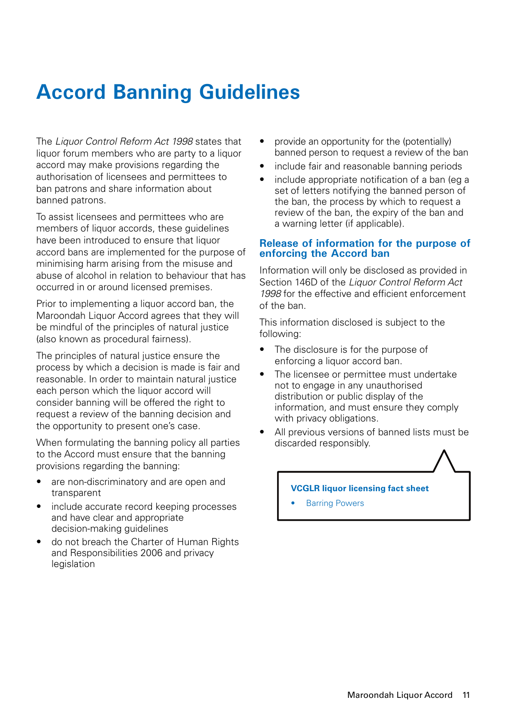## <span id="page-10-0"></span>**Accord Banning Guidelines**

The *Liquor Control Reform Act 1998* states that liquor forum members who are party to a liquor accord may make provisions regarding the authorisation of licensees and permittees to ban patrons and share information about banned patrons.

To assist licensees and permittees who are members of liquor accords, these guidelines have been introduced to ensure that liquor accord bans are implemented for the purpose of minimising harm arising from the misuse and abuse of alcohol in relation to behaviour that has occurred in or around licensed premises.

Prior to implementing a liquor accord ban, the Maroondah Liquor Accord agrees that they will be mindful of the principles of natural justice (also known as procedural fairness).

The principles of natural justice ensure the process by which a decision is made is fair and reasonable. In order to maintain natural justice each person which the liquor accord will consider banning will be offered the right to request a review of the banning decision and the opportunity to present one's case.

When formulating the banning policy all parties to the Accord must ensure that the banning provisions regarding the banning:

- ∙ are non-discriminatory and are open and transparent
- ∙ include accurate record keeping processes and have clear and appropriate decision-making quidelines
- ∙ do not breach the Charter of Human Rights and Responsibilities 2006 and privacy legislation
- ∙ provide an opportunity for the (potentially) banned person to request a review of the ban
- ∙ include fair and reasonable banning periods
- ∙ include appropriate notification of a ban (eg a set of letters notifying the banned person of the ban, the process by which to request a review of the ban, the expiry of the ban and a warning letter (if applicable).

### **Release of information for the purpose of enforcing the Accord ban**

Information will only be disclosed as provided in Section 146D of the *Liquor Control Reform Act 1998* for the effective and efficient enforcement of the ban.

This information disclosed is subject to the following:

- ∙ The disclosure is for the purpose of enforcing a liquor accord ban.
- ∙ The licensee or permittee must undertake not to engage in any unauthorised distribution or public display of the information, and must ensure they comply with privacy obligations.
- ∙ All previous versions of banned lists must be discarded responsibly.

### **VCGLR liquor licensing fact sheet**

**Barring Powers**